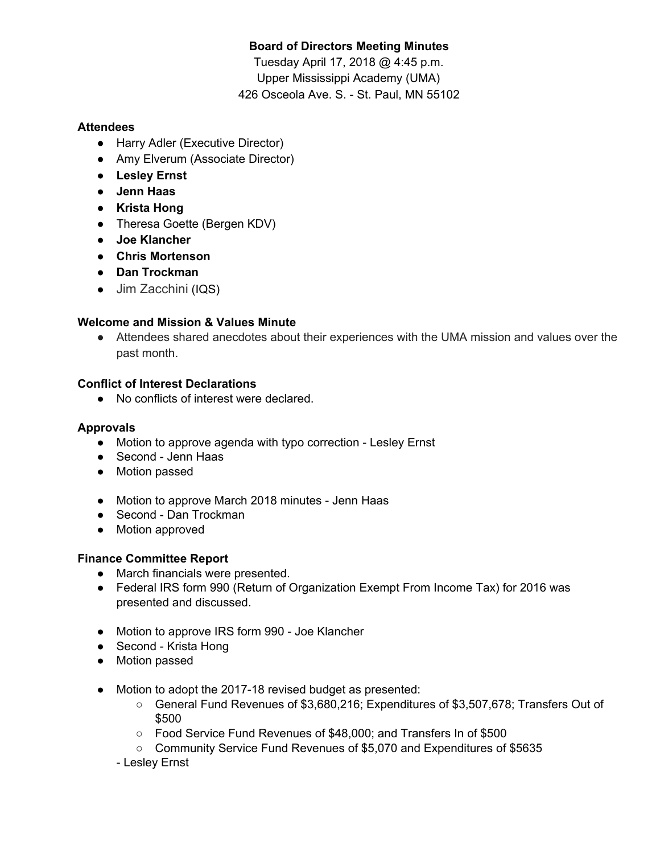# **Board of Directors Meeting Minutes**

Tuesday April 17, 2018 @ 4:45 p.m. Upper Mississippi Academy (UMA) 426 Osceola Ave. S. - St. Paul, MN 55102

## **Attendees**

- Harry Adler (Executive Director)
- Amy Elverum (Associate Director)
- **● Lesley Ernst**
- **● Jenn Haas**
- **● Krista Hong**
- Theresa Goette (Bergen KDV)
- **● Joe Klancher**
- **● Chris Mortenson**
- **● Dan Trockman**
- Jim Zacchini (IQS)

### **Welcome and Mission & Values Minute**

● Attendees shared anecdotes about their experiences with the UMA mission and values over the past month.

### **Conflict of Interest Declarations**

● No conflicts of interest were declared.

### **Approvals**

- Motion to approve agenda with typo correction Lesley Ernst
- Second Jenn Haas
- Motion passed
- Motion to approve March 2018 minutes Jenn Haas
- Second Dan Trockman
- Motion approved

### **Finance Committee Report**

- March financials were presented.
- Federal IRS form 990 (Return of Organization Exempt From Income Tax) for 2016 was presented and discussed.
- Motion to approve IRS form 990 Joe Klancher
- Second Krista Hong
- Motion passed
- Motion to adopt the 2017-18 revised budget as presented:
	- General Fund Revenues of \$3,680,216; Expenditures of \$3,507,678; Transfers Out of \$500
	- Food Service Fund Revenues of \$48,000; and Transfers In of \$500
	- Community Service Fund Revenues of \$5,070 and Expenditures of \$5635
	- Lesley Ernst